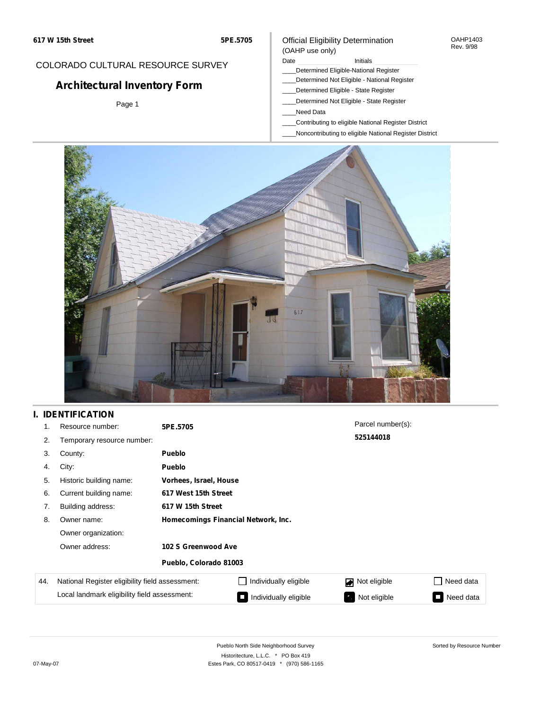#### OAHP1403 Rev. 9/98

## COLORADO CULTURAL RESOURCE SURVEY

# **Architectural Inventory Form**

Page 1

### (OAHP use only) Date **Initials** Initials

Official Eligibility Determination

- \_\_\_\_Determined Eligible-National Register
- \_\_\_\_Determined Not Eligible National Register
- \_\_\_\_Determined Eligible State Register
- \_\_\_\_Determined Not Eligible State Register
- \_\_\_\_Need Data
- \_\_\_\_Contributing to eligible National Register District
- \_\_\_\_Noncontributing to eligible National Register District



## **I. IDENTIFICATION**

| 1.  | Resource number:                                | 5PE.5705                            |                        | Parcel number(s):  |           |  |  |  |
|-----|-------------------------------------------------|-------------------------------------|------------------------|--------------------|-----------|--|--|--|
| 2.  | Temporary resource number:                      |                                     |                        | 525144018          |           |  |  |  |
| 3.  | County:                                         | <b>Pueblo</b>                       |                        |                    |           |  |  |  |
| 4.  | City:                                           | <b>Pueblo</b>                       |                        |                    |           |  |  |  |
| 5.  | Historic building name:                         |                                     | Vorhees, Israel, House |                    |           |  |  |  |
| 6.  | Current building name:                          |                                     | 617 West 15th Street   |                    |           |  |  |  |
| 7.  | Building address:                               | 617 W 15th Street                   |                        |                    |           |  |  |  |
| 8.  | Owner name:                                     | Homecomings Financial Network, Inc. |                        |                    |           |  |  |  |
|     | Owner organization:                             |                                     |                        |                    |           |  |  |  |
|     | Owner address:                                  | 102 S Greenwood Ave                 |                        |                    |           |  |  |  |
|     |                                                 | Pueblo, Colorado 81003              |                        |                    |           |  |  |  |
| 44. | National Register eligibility field assessment: |                                     | Individually eligible  | Not eligible       | Need data |  |  |  |
|     | Local landmark eligibility field assessment:    |                                     | Individually eligible  | Not eligible<br>У. | Need data |  |  |  |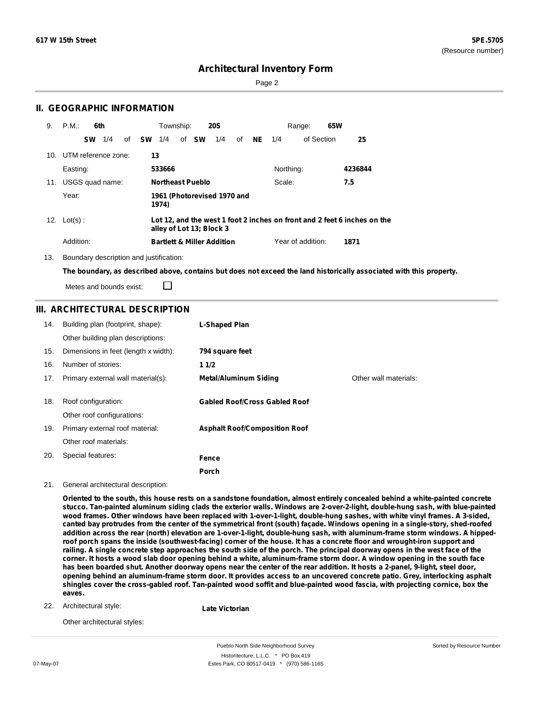Sorted by Resource Number

## **Architectural Inventory Form**

Page 2

### **II. GEOGRAPHIC INFORMATION**

| 9. | P.M.                    | 6th       |     |    |           | Township: |                         | <b>20S</b>                            |    |    |           | 65W<br>Range:     |                                                                          |  |
|----|-------------------------|-----------|-----|----|-----------|-----------|-------------------------|---------------------------------------|----|----|-----------|-------------------|--------------------------------------------------------------------------|--|
|    |                         | <b>SW</b> | 1/4 | of | <b>SW</b> | 1/4       | of <b>SW</b>            | 1/4                                   | of | NE | 1/4       | of Section        | 25                                                                       |  |
|    | 10. UTM reference zone: |           |     |    | 13        |           |                         |                                       |    |    |           |                   |                                                                          |  |
|    | Easting:                |           |     |    |           | 533666    |                         |                                       |    |    | Northing: |                   | 4236844                                                                  |  |
|    | 11. USGS quad name:     |           |     |    |           |           | <b>Northeast Pueblo</b> |                                       |    |    | Scale:    |                   | 7.5                                                                      |  |
|    | Year:                   |           |     |    |           | 1974)     |                         | 1961 (Photorevised 1970 and           |    |    |           |                   |                                                                          |  |
|    | 12. $Lot(s)$ :          |           |     |    |           |           |                         | alley of Lot 13; Block 3              |    |    |           |                   | Lot 12, and the west 1 foot 2 inches on front and 2 feet 6 inches on the |  |
|    | Addition:               |           |     |    |           |           |                         | <b>Bartlett &amp; Miller Addition</b> |    |    |           | Year of addition: | 1871                                                                     |  |

13. Boundary description and justification:

□

The boundary, as described above, contains but does not exceed the land historically associated with this property.

Metes and bounds exist:

### **III. ARCHITECTURAL DESCRIPTION**

| 14. | Building plan (footprint, shape):<br>Other building plan descriptions: | <b>L-Shaped Plan</b>                 |                       |
|-----|------------------------------------------------------------------------|--------------------------------------|-----------------------|
| 15. | Dimensions in feet (length x width):                                   | 794 square feet                      |                       |
| 16. | Number of stories:                                                     | 11/2                                 |                       |
| 17. | Primary external wall material(s):                                     | <b>Metal/Aluminum Siding</b>         | Other wall materials: |
|     |                                                                        |                                      |                       |
| 18. | Roof configuration:                                                    | <b>Gabled Roof/Cross Gabled Roof</b> |                       |
|     | Other roof configurations:                                             |                                      |                       |
| 19. | Primary external roof material:                                        | <b>Asphalt Roof/Composition Roof</b> |                       |
|     | Other roof materials:                                                  |                                      |                       |
| 20. | Special features:                                                      | Fence                                |                       |
|     |                                                                        | Porch                                |                       |

21. General architectural description:

Oriented to the south, this house rests on a sandstone foundation, almost entirely concealed behind a white-painted concrete stucco. Tan-painted aluminum siding clads the exterior walls. Windows are 2-over-2-light, double-hung sash, with blue-painted wood frames. Other windows have been replaced with 1-over-1-light, double-hung sashes, with white vinyl frames. A 3-sided, canted bay protrudes from the center of the symmetrical front (south) façade. Windows opening in a single-story, shed-roofed addition across the rear (north) elevation are 1-over-1-light, double-hung sash, with aluminum-frame storm windows. A hippedroof porch spans the inside (southwest-facing) corner of the house. It has a concrete floor and wrought-iron support and railing. A single concrete step approaches the south side of the porch. The principal doorway opens in the west face of the corner. It hosts a wood slab door opening behind a white, aluminum-frame storm door. A window opening in the south face has been boarded shut. Another doorway opens near the center of the rear addition. It hosts a 2-panel, 9-light, steel door, opening behind an aluminum-frame storm door. It provides access to an uncovered concrete patio. Grey, interlocking asphalt shingles cover the cross-gabled roof. Tan-painted wood soffit and blue-painted wood fascia, with projecting cornice, box the **eaves.**

Architectural style: 22.

**Late Victorian**

Other architectural styles:

Pueblo North Side Neighborhood Survey Historitecture, L.L.C. \* PO Box 419 07-May-07 **Estes Park, CO 80517-0419** \* (970) 586-1165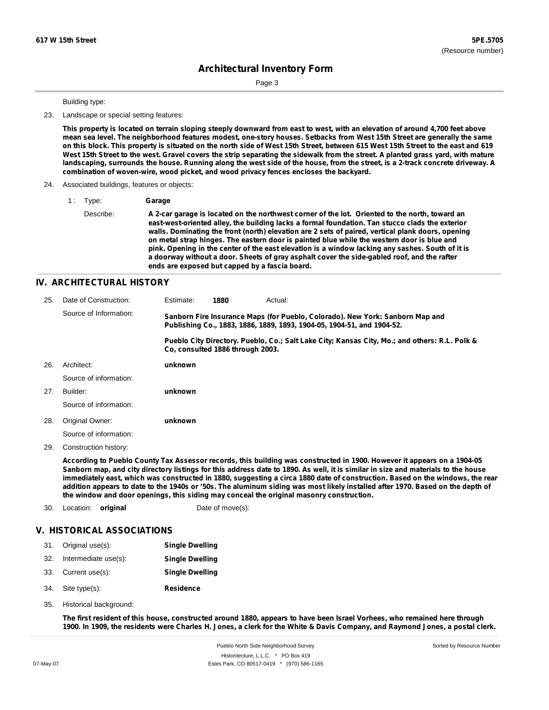Page 3

#### Building type:

23. Landscape or special setting features:

This property is located on terrain sloping steeply downward from east to west, with an elevation of around 4,700 feet above mean sea level. The neighborhood features modest, one-story houses. Setbacks from West 15th Street are generally the same on this block. This property is situated on the north side of West 15th Street, between 615 West 15th Street to the east and 619 West 15th Street to the west. Gravel covers the strip separating the sidewalk from the street. A planted grass yard, with mature landscaping, surrounds the house. Running along the west side of the house, from the street, is a 2-track concrete driveway. A **combination of woven-wire, wood picket, and wood privacy fences encloses the backyard.**

#### 24. Associated buildings, features or objects:

1 : Type: **Garage**

Describe: A 2-car garage is located on the northwest corner of the lot. Oriented to the north, toward an **east-west-oriented alley, the building lacks a formal foundation. Tan stucco clads the exterior walls. Dominating the front (north) elevation are 2 sets of paired, vertical plank doors, opening on metal strap hinges. The eastern door is painted blue while the western door is blue and** pink. Opening in the center of the east elevation is a window lacking any sashes. South of it is **a doorway without a door. Sheets of gray asphalt cover the side-gabled roof, and the rafter ends are exposed but capped by a fascia board.**

#### **IV. ARCHITECTURAL HISTORY**

| 25. | Date of Construction:  | Estimate:                                                                                                                                               | 1880 | Actual: |                                                                                               |  |
|-----|------------------------|---------------------------------------------------------------------------------------------------------------------------------------------------------|------|---------|-----------------------------------------------------------------------------------------------|--|
|     | Source of Information: | Sanborn Fire Insurance Maps (for Pueblo, Colorado). New York: Sanborn Map and<br>Publishing Co., 1883, 1886, 1889, 1893, 1904-05, 1904-51, and 1904-52. |      |         |                                                                                               |  |
|     |                        | Co. consulted 1886 through 2003.                                                                                                                        |      |         | Pueblo City Directory. Pueblo, Co.; Salt Lake City; Kansas City, Mo.; and others: R.L. Polk & |  |
| 26. | Architect:             | unknown                                                                                                                                                 |      |         |                                                                                               |  |
|     | Source of information: |                                                                                                                                                         |      |         |                                                                                               |  |
| 27. | Builder:               | unknown                                                                                                                                                 |      |         |                                                                                               |  |
|     | Source of information: |                                                                                                                                                         |      |         |                                                                                               |  |
| 28. | Original Owner:        | unknown                                                                                                                                                 |      |         |                                                                                               |  |
|     | Source of information: |                                                                                                                                                         |      |         |                                                                                               |  |

29. Construction history:

According to Pueblo County Tax Assessor records, this building was constructed in 1900. However it appears on a 1904-05 Sanborn map, and city directory listings for this address date to 1890. As well, it is similar in size and materials to the house immediately east, which was constructed in 1880, suggesting a circa 1880 date of construction. Based on the windows, the rear addition appears to date to the 1940s or '50s. The aluminum siding was most likely installed after 1970. Based on the depth of **the window and door openings, this siding may conceal the original masonry construction.**

30. Location: **original** Date of move(s):

#### **V. HISTORICAL ASSOCIATIONS**

|     | 31. Original use(s): | <b>Single Dwelling</b> |
|-----|----------------------|------------------------|
| 32. | Intermediate use(s): | <b>Single Dwelling</b> |
|     | 33. Current use(s):  | <b>Single Dwelling</b> |

- **Residence** Site type(s): 34.
- 35. Historical background:

The first resident of this house, constructed around 1880, appears to have been Israel Vorhees, who remained here through 1900. In 1909, the residents were Charles H. Jones, a clerk for the White & Davis Company, and Raymond Jones, a postal clerk.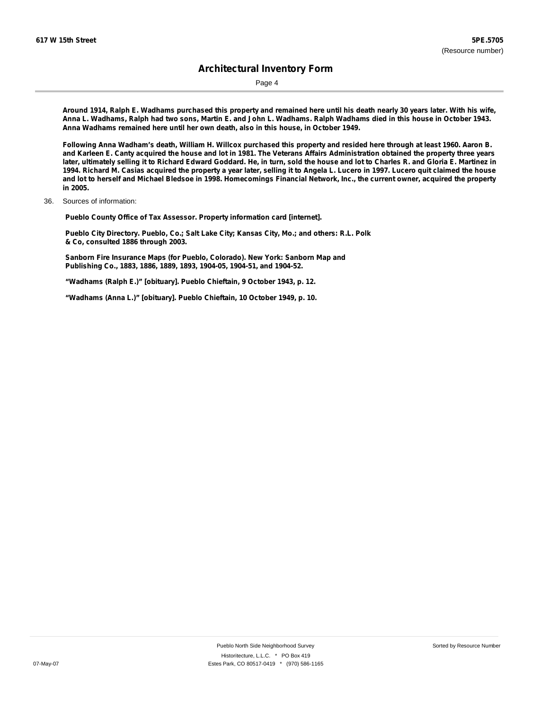Page 4

Around 1914, Ralph E. Wadhams purchased this property and remained here until his death nearly 30 years later. With his wife, Anna L. Wadhams, Ralph had two sons, Martin E. and John L. Wadhams. Ralph Wadhams died in this house in October 1943. **Anna Wadhams remained here until her own death, also in this house, in October 1949.**

Following Anna Wadham's death, William H. Willcox purchased this property and resided here through at least 1960. Aaron B. and Karleen E. Canty acquired the house and lot in 1981. The Veterans Affairs Administration obtained the property three years later, ultimately selling it to Richard Edward Goddard. He, in turn, sold the house and lot to Charles R. and Gloria E. Martinez in 1994. Richard M. Casias acquired the property a year later, selling it to Angela L. Lucero in 1997. Lucero quit claimed the house and lot to herself and Michael Bledsoe in 1998. Homecomings Financial Network, Inc., the current owner, acquired the property **in 2005.**

36. Sources of information:

**Pueblo County Office of Tax Assessor. Property information card [internet].**

**Pueblo City Directory. Pueblo, Co.; Salt Lake City; Kansas City, Mo.; and others: R.L. Polk & Co, consulted 1886 through 2003.**

**Sanborn Fire Insurance Maps (for Pueblo, Colorado). New York: Sanborn Map and Publishing Co., 1883, 1886, 1889, 1893, 1904-05, 1904-51, and 1904-52.**

**"Wadhams (Ralph E.)" [obituary]. Pueblo Chieftain, 9 October 1943, p. 12.**

**"Wadhams (Anna L.)" [obituary]. Pueblo Chieftain, 10 October 1949, p. 10.**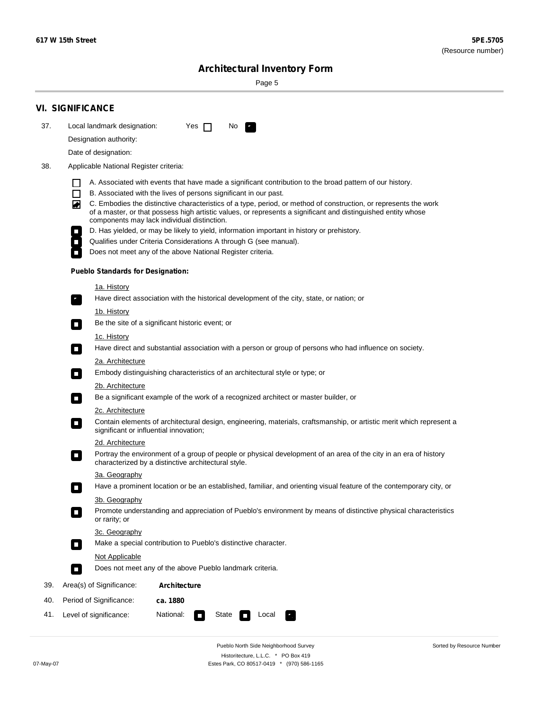۰

Sorted by Resource Number

# **Architectural Inventory Form**

Page 5

|     | <b>VI. SIGNIFICANCE</b>                                                                                                                                                                                                                                                                                                                                                                                                                                                                                                                                                                                                                                                                                                                                            |  |  |  |  |  |
|-----|--------------------------------------------------------------------------------------------------------------------------------------------------------------------------------------------------------------------------------------------------------------------------------------------------------------------------------------------------------------------------------------------------------------------------------------------------------------------------------------------------------------------------------------------------------------------------------------------------------------------------------------------------------------------------------------------------------------------------------------------------------------------|--|--|--|--|--|
| 37. | Local landmark designation:<br>Yes $\Box$<br>No.                                                                                                                                                                                                                                                                                                                                                                                                                                                                                                                                                                                                                                                                                                                   |  |  |  |  |  |
|     | Designation authority:                                                                                                                                                                                                                                                                                                                                                                                                                                                                                                                                                                                                                                                                                                                                             |  |  |  |  |  |
|     | Date of designation:                                                                                                                                                                                                                                                                                                                                                                                                                                                                                                                                                                                                                                                                                                                                               |  |  |  |  |  |
| 38. | Applicable National Register criteria:                                                                                                                                                                                                                                                                                                                                                                                                                                                                                                                                                                                                                                                                                                                             |  |  |  |  |  |
|     | A. Associated with events that have made a significant contribution to the broad pattern of our history.<br>l.<br>B. Associated with the lives of persons significant in our past.<br>$\Box$<br>C. Embodies the distinctive characteristics of a type, period, or method of construction, or represents the work<br>◙<br>of a master, or that possess high artistic values, or represents a significant and distinguished entity whose<br>components may lack individual distinction.<br>D. Has yielded, or may be likely to yield, information important in history or prehistory.<br>Qualifies under Criteria Considerations A through G (see manual).<br>Does not meet any of the above National Register criteria.<br><b>Pueblo Standards for Designation:</b> |  |  |  |  |  |
|     |                                                                                                                                                                                                                                                                                                                                                                                                                                                                                                                                                                                                                                                                                                                                                                    |  |  |  |  |  |
|     | 1a. History<br>Have direct association with the historical development of the city, state, or nation; or                                                                                                                                                                                                                                                                                                                                                                                                                                                                                                                                                                                                                                                           |  |  |  |  |  |
|     | <u>1b. History</u><br>Be the site of a significant historic event; or<br>$\mathcal{L}_{\mathcal{A}}$                                                                                                                                                                                                                                                                                                                                                                                                                                                                                                                                                                                                                                                               |  |  |  |  |  |
|     | 1c. History<br>Have direct and substantial association with a person or group of persons who had influence on society.<br>$\blacksquare$                                                                                                                                                                                                                                                                                                                                                                                                                                                                                                                                                                                                                           |  |  |  |  |  |
|     | 2a. Architecture<br>Embody distinguishing characteristics of an architectural style or type; or<br>$\overline{\phantom{a}}$                                                                                                                                                                                                                                                                                                                                                                                                                                                                                                                                                                                                                                        |  |  |  |  |  |
|     | 2b. Architecture                                                                                                                                                                                                                                                                                                                                                                                                                                                                                                                                                                                                                                                                                                                                                   |  |  |  |  |  |
|     | Be a significant example of the work of a recognized architect or master builder, or<br>$\sim$                                                                                                                                                                                                                                                                                                                                                                                                                                                                                                                                                                                                                                                                     |  |  |  |  |  |
|     | 2c. Architecture                                                                                                                                                                                                                                                                                                                                                                                                                                                                                                                                                                                                                                                                                                                                                   |  |  |  |  |  |
|     | Contain elements of architectural design, engineering, materials, craftsmanship, or artistic merit which represent a<br>О<br>significant or influential innovation;                                                                                                                                                                                                                                                                                                                                                                                                                                                                                                                                                                                                |  |  |  |  |  |
|     | 2d. Architecture                                                                                                                                                                                                                                                                                                                                                                                                                                                                                                                                                                                                                                                                                                                                                   |  |  |  |  |  |
|     | Portray the environment of a group of people or physical development of an area of the city in an era of history<br>$\Box$<br>characterized by a distinctive architectural style.                                                                                                                                                                                                                                                                                                                                                                                                                                                                                                                                                                                  |  |  |  |  |  |
|     | 3a. Geography                                                                                                                                                                                                                                                                                                                                                                                                                                                                                                                                                                                                                                                                                                                                                      |  |  |  |  |  |
|     | Have a prominent location or be an established, familiar, and orienting visual feature of the contemporary city, or                                                                                                                                                                                                                                                                                                                                                                                                                                                                                                                                                                                                                                                |  |  |  |  |  |
|     | 3b. Geography<br>Promote understanding and appreciation of Pueblo's environment by means of distinctive physical characteristics<br>or rarity; or                                                                                                                                                                                                                                                                                                                                                                                                                                                                                                                                                                                                                  |  |  |  |  |  |
|     | 3c. Geography<br>Make a special contribution to Pueblo's distinctive character.<br>$\sim$                                                                                                                                                                                                                                                                                                                                                                                                                                                                                                                                                                                                                                                                          |  |  |  |  |  |
|     | Not Applicable                                                                                                                                                                                                                                                                                                                                                                                                                                                                                                                                                                                                                                                                                                                                                     |  |  |  |  |  |
|     | Does not meet any of the above Pueblo landmark criteria.<br>$\overline{\phantom{a}}$                                                                                                                                                                                                                                                                                                                                                                                                                                                                                                                                                                                                                                                                               |  |  |  |  |  |
| 39. | Area(s) of Significance:<br><b>Architecture</b>                                                                                                                                                                                                                                                                                                                                                                                                                                                                                                                                                                                                                                                                                                                    |  |  |  |  |  |
| 40. | Period of Significance:<br>ca. 1880                                                                                                                                                                                                                                                                                                                                                                                                                                                                                                                                                                                                                                                                                                                                |  |  |  |  |  |
| 41. | National:<br>Level of significance:<br>State<br>Local<br>т,<br>П                                                                                                                                                                                                                                                                                                                                                                                                                                                                                                                                                                                                                                                                                                   |  |  |  |  |  |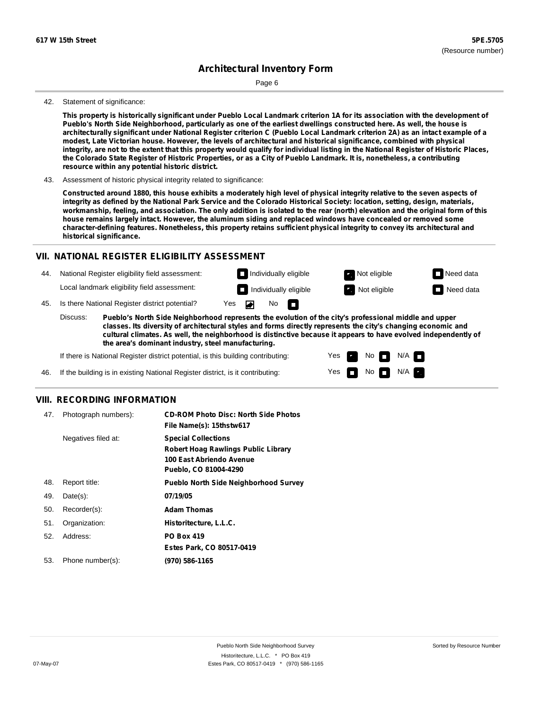Page 6

#### 42. Statement of significance:

This property is historically significant under Pueblo Local Landmark criterion 1A for its association with the development of Pueblo's North Side Neighborhood, particularly as one of the earliest dwellings constructed here. As well, the house is architecturally significant under National Register criterion C (Pueblo Local Landmark criterion 2A) as an intact example of a **modest, Late Victorian house. However, the levels of architectural and historical significance, combined with physical** integrity, are not to the extent that this property would qualify for individual listing in the National Register of Historic Places, the Colorado State Register of Historic Properties, or as a City of Pueblo Landmark. It is, nonetheless, a contributing **resource within any potential historic district.**

43. Assessment of historic physical integrity related to significance:

Constructed around 1880, this house exhibits a moderately high level of physical integrity relative to the seven aspects of integrity as defined by the National Park Service and the Colorado Historical Society: location, setting, design, materials, workmanship, feeling, and association. The only addition is isolated to the rear (north) elevation and the original form of this **house remains largely intact. However, the aluminum siding and replaced windows have concealed or removed some character-defining features. Nonetheless, this property retains sufficient physical integrity to convey its architectural and historical significance.**

### **VII. NATIONAL REGISTER ELIGIBILITY ASSESSMENT**

44. National Register eligibility field assessment: Local landmark eligibility field assessment:

**Individually eligible Not eligible** Not eligible **Need data Individually eligible Not eligible** Not eligible **Need data** 

m

Yes Yes No

 $No$   $M/A$ 



 $N/A$ 

45. Is there National Register district potential? Yes

**Pueblo's North Side Neighborhood represents the evolution of the city's professional middle and upper classes. Its diversity of architectural styles and forms directly represents the city's changing economic and cultural climates. As well, the neighborhood is distinctive because it appears to have evolved independently of the area's dominant industry, steel manufacturing.** Discuss:

No

If there is National Register district potential, is this building contributing:

If the building is in existing National Register district, is it contributing: 46.

### **VIII. RECORDING INFORMATION**

| 47. | Photograph numbers): | <b>CD-ROM Photo Disc: North Side Photos</b><br>File Name(s): 15thstw617                                                       |
|-----|----------------------|-------------------------------------------------------------------------------------------------------------------------------|
|     | Negatives filed at:  | <b>Special Collections</b><br><b>Robert Hoag Rawlings Public Library</b><br>100 East Abriendo Avenue<br>Pueblo, CO 81004-4290 |
| 48. | Report title:        | <b>Pueblo North Side Neighborhood Survey</b>                                                                                  |
| 49. | $Date(s)$ :          | 07/19/05                                                                                                                      |
| 50. | Recorder(s):         | <b>Adam Thomas</b>                                                                                                            |
| 51. | Organization:        | Historitecture, L.L.C.                                                                                                        |
| 52. | Address:             | <b>PO Box 419</b>                                                                                                             |
|     |                      | Estes Park, CO 80517-0419                                                                                                     |
| 53. | Phone number(s):     | (970) 586-1165                                                                                                                |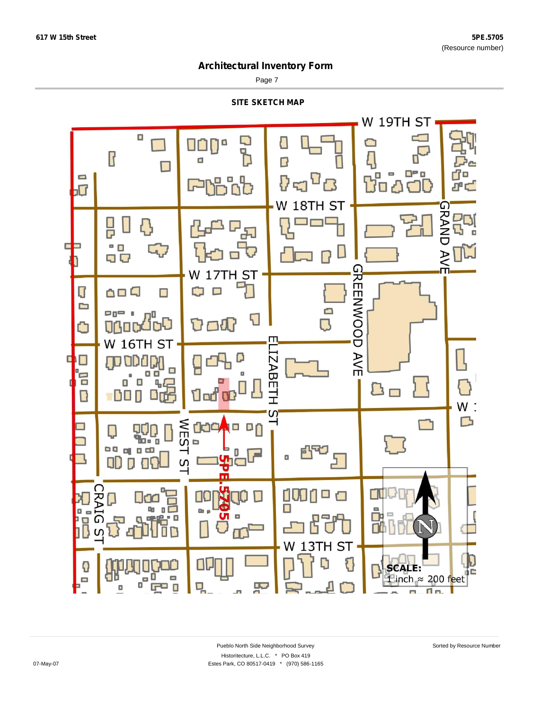$\Box$ 

## **Architectural Inventory Form**

Page 7

**SITE SKETCH MAP**